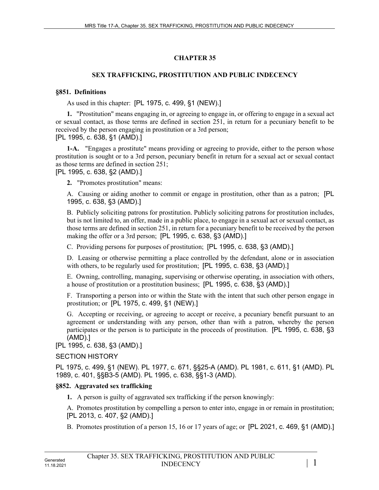# **CHAPTER 35**

## **SEX TRAFFICKING, PROSTITUTION AND PUBLIC INDECENCY**

### **§851. Definitions**

As used in this chapter: [PL 1975, c. 499, §1 (NEW).]

**1.** "Prostitution" means engaging in, or agreeing to engage in, or offering to engage in a sexual act or sexual contact, as those terms are defined in section 251, in return for a pecuniary benefit to be received by the person engaging in prostitution or a 3rd person; [PL 1995, c. 638, §1 (AMD).]

**1-A.** "Engages a prostitute" means providing or agreeing to provide, either to the person whose prostitution is sought or to a 3rd person, pecuniary benefit in return for a sexual act or sexual contact as those terms are defined in section 251;

[PL 1995, c. 638, §2 (AMD).]

**2.** "Promotes prostitution" means:

A. Causing or aiding another to commit or engage in prostitution, other than as a patron; [PL 1995, c. 638, §3 (AMD).]

B. Publicly soliciting patrons for prostitution. Publicly soliciting patrons for prostitution includes, but is not limited to, an offer, made in a public place, to engage in a sexual act or sexual contact, as those terms are defined in section 251, in return for a pecuniary benefit to be received by the person making the offer or a 3rd person; [PL 1995, c. 638, §3 (AMD).]

C. Providing persons for purposes of prostitution; [PL 1995, c. 638, §3 (AMD).]

D. Leasing or otherwise permitting a place controlled by the defendant, alone or in association with others, to be regularly used for prostitution; [PL 1995, c. 638, §3 (AMD).]

E. Owning, controlling, managing, supervising or otherwise operating, in association with others, a house of prostitution or a prostitution business; [PL 1995, c. 638, §3 (AMD).]

F. Transporting a person into or within the State with the intent that such other person engage in prostitution; or [PL 1975, c. 499, §1 (NEW).]

G. Accepting or receiving, or agreeing to accept or receive, a pecuniary benefit pursuant to an agreement or understanding with any person, other than with a patron, whereby the person participates or the person is to participate in the proceeds of prostitution. [PL 1995, c. 638, §3 (AMD).]

[PL 1995, c. 638, §3 (AMD).]

### SECTION HISTORY

PL 1975, c. 499, §1 (NEW). PL 1977, c. 671, §§25-A (AMD). PL 1981, c. 611, §1 (AMD). PL 1989, c. 401, §§B3-5 (AMD). PL 1995, c. 638, §§1-3 (AMD).

# **§852. Aggravated sex trafficking**

**1.** A person is guilty of aggravated sex trafficking if the person knowingly:

A. Promotes prostitution by compelling a person to enter into, engage in or remain in prostitution; [PL 2013, c. 407, §2 (AMD).]

B. Promotes prostitution of a person 15, 16 or 17 years of age; or [PL 2021, c. 469, §1 (AMD).]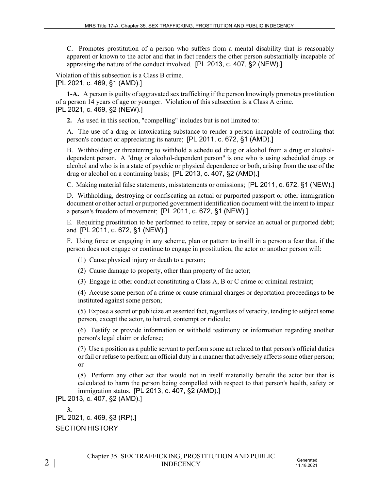C. Promotes prostitution of a person who suffers from a mental disability that is reasonably apparent or known to the actor and that in fact renders the other person substantially incapable of appraising the nature of the conduct involved. [PL 2013, c. 407, §2 (NEW).]

Violation of this subsection is a Class B crime. [PL 2021, c. 469, §1 (AMD).]

**1-A.** A person is guilty of aggravated sex trafficking if the person knowingly promotes prostitution of a person 14 years of age or younger. Violation of this subsection is a Class A crime. [PL 2021, c. 469, §2 (NEW).]

**2.** As used in this section, "compelling" includes but is not limited to:

A. The use of a drug or intoxicating substance to render a person incapable of controlling that person's conduct or appreciating its nature; [PL 2011, c. 672, §1 (AMD).]

B. Withholding or threatening to withhold a scheduled drug or alcohol from a drug or alcoholdependent person. A "drug or alcohol-dependent person" is one who is using scheduled drugs or alcohol and who is in a state of psychic or physical dependence or both, arising from the use of the drug or alcohol on a continuing basis; [PL 2013, c. 407, §2 (AMD).]

C. Making material false statements, misstatements or omissions; [PL 2011, c. 672, §1 (NEW).]

D. Withholding, destroying or confiscating an actual or purported passport or other immigration document or other actual or purported government identification document with the intent to impair a person's freedom of movement; [PL 2011, c. 672, §1 (NEW).]

E. Requiring prostitution to be performed to retire, repay or service an actual or purported debt; and [PL 2011, c. 672, §1 (NEW).]

F. Using force or engaging in any scheme, plan or pattern to instill in a person a fear that, if the person does not engage or continue to engage in prostitution, the actor or another person will:

(1) Cause physical injury or death to a person;

(2) Cause damage to property, other than property of the actor;

(3) Engage in other conduct constituting a Class A, B or C crime or criminal restraint;

(4) Accuse some person of a crime or cause criminal charges or deportation proceedings to be instituted against some person;

(5) Expose a secret or publicize an asserted fact, regardless of veracity, tending to subject some person, except the actor, to hatred, contempt or ridicule;

(6) Testify or provide information or withhold testimony or information regarding another person's legal claim or defense;

(7) Use a position as a public servant to perform some act related to that person's official duties or fail or refuse to perform an official duty in a manner that adversely affects some other person; or

(8) Perform any other act that would not in itself materially benefit the actor but that is calculated to harm the person being compelled with respect to that person's health, safety or immigration status. [PL 2013, c. 407, §2 (AMD).]

[PL 2013, c. 407, §2 (AMD).]

**3.** 

[PL 2021, c. 469, §3 (RP).] SECTION HISTORY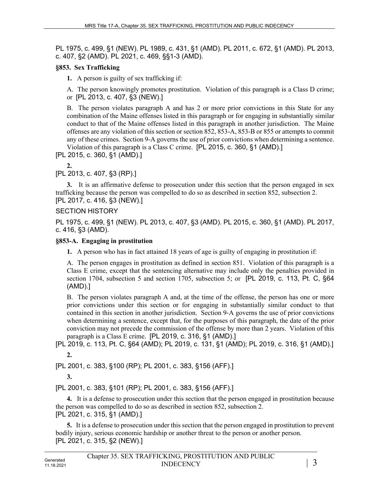PL 1975, c. 499, §1 (NEW). PL 1989, c. 431, §1 (AMD). PL 2011, c. 672, §1 (AMD). PL 2013, c. 407, §2 (AMD). PL 2021, c. 469, §§1-3 (AMD).

#### **§853. Sex Trafficking**

**1.** A person is guilty of sex trafficking if:

A. The person knowingly promotes prostitution. Violation of this paragraph is a Class D crime; or [PL 2013, c. 407, §3 (NEW).]

B. The person violates paragraph A and has 2 or more prior convictions in this State for any combination of the Maine offenses listed in this paragraph or for engaging in substantially similar conduct to that of the Maine offenses listed in this paragraph in another jurisdiction. The Maine offenses are any violation of this section or section 852, 853-A, 853-B or 855 or attempts to commit any of these crimes. Section 9-A governs the use of prior convictions when determining a sentence. Violation of this paragraph is a Class C crime. [PL 2015, c. 360, §1 (AMD).]

[PL 2015, c. 360, §1 (AMD).]

**2.** 

[PL 2013, c. 407, §3 (RP).]

**3.** It is an affirmative defense to prosecution under this section that the person engaged in sex trafficking because the person was compelled to do so as described in section 852, subsection 2. [PL 2017, c. 416, §3 (NEW).]

### SECTION HISTORY

PL 1975, c. 499, §1 (NEW). PL 2013, c. 407, §3 (AMD). PL 2015, c. 360, §1 (AMD). PL 2017, c. 416, §3 (AMD).

#### **§853-A. Engaging in prostitution**

**1.** A person who has in fact attained 18 years of age is guilty of engaging in prostitution if:

A. The person engages in prostitution as defined in section 851. Violation of this paragraph is a Class E crime, except that the sentencing alternative may include only the penalties provided in section 1704, subsection 5 and section 1705, subsection 5; or [PL 2019, c. 113, Pt. C, §64 (AMD).]

B. The person violates paragraph A and, at the time of the offense, the person has one or more prior convictions under this section or for engaging in substantially similar conduct to that contained in this section in another jurisdiction. Section 9‑A governs the use of prior convictions when determining a sentence, except that, for the purposes of this paragraph, the date of the prior conviction may not precede the commission of the offense by more than 2 years. Violation of this paragraph is a Class E crime. [PL 2019, c. 316, §1 (AMD).]

[PL 2019, c. 113, Pt. C, §64 (AMD); PL 2019, c. 131, §1 (AMD); PL 2019, c. 316, §1 (AMD).] **2.** 

[PL 2001, c. 383, §100 (RP); PL 2001, c. 383, §156 (AFF).]

**3.** 

[PL 2001, c. 383, §101 (RP); PL 2001, c. 383, §156 (AFF).]

**4.** It is a defense to prosecution under this section that the person engaged in prostitution because the person was compelled to do so as described in section 852, subsection 2. [PL 2021, c. 315, §1 (AMD).]

**5.** It is a defense to prosecution under this section that the person engaged in prostitution to prevent bodily injury, serious economic hardship or another threat to the person or another person. [PL 2021, c. 315, §2 (NEW).]

|                         | Chapter 35. SEX TRAFFICKING, PROSTITUTION AND PUBLIC |  |
|-------------------------|------------------------------------------------------|--|
| Generated<br>11.18.2021 | <b>INDECENCY</b>                                     |  |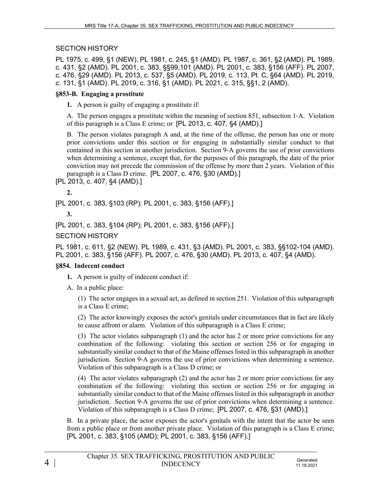### SECTION HISTORY

PL 1975, c. 499, §1 (NEW). PL 1981, c. 245, §1 (AMD). PL 1987, c. 361, §2 (AMD). PL 1989, c. 431, §2 (AMD). PL 2001, c. 383, §§99,101 (AMD). PL 2001, c. 383, §156 (AFF). PL 2007, c. 476, §29 (AMD). PL 2013, c. 537, §5 (AMD). PL 2019, c. 113, Pt. C, §64 (AMD). PL 2019, c. 131, §1 (AMD). PL 2019, c. 316, §1 (AMD). PL 2021, c. 315, §§1, 2 (AMD).

### **§853-B. Engaging a prostitute**

**1.** A person is guilty of engaging a prostitute if:

A. The person engages a prostitute within the meaning of section 851, subsection 1‑A. Violation of this paragraph is a Class E crime; or [PL 2013, c. 407, §4 (AMD).]

B. The person violates paragraph A and, at the time of the offense, the person has one or more prior convictions under this section or for engaging in substantially similar conduct to that contained in this section in another jurisdiction. Section 9‑A governs the use of prior convictions when determining a sentence, except that, for the purposes of this paragraph, the date of the prior conviction may not precede the commission of the offense by more than 2 years. Violation of this paragraph is a Class D crime. [PL 2007, c. 476, §30 (AMD).]

[PL 2013, c. 407, §4 (AMD).]

**2.** 

[PL 2001, c. 383, §103 (RP); PL 2001, c. 383, §156 (AFF).]

**3.** 

[PL 2001, c. 383, §104 (RP); PL 2001, c. 383, §156 (AFF).]

#### SECTION HISTORY

PL 1981, c. 611, §2 (NEW). PL 1989, c. 431, §3 (AMD). PL 2001, c. 383, §§102-104 (AMD). PL 2001, c. 383, §156 (AFF). PL 2007, c. 476, §30 (AMD). PL 2013, c. 407, §4 (AMD).

#### **§854. Indecent conduct**

- **1.** A person is guilty of indecent conduct if:
- A. In a public place:

(1) The actor engages in a sexual act, as defined in section 251. Violation of this subparagraph is a Class E crime;

(2) The actor knowingly exposes the actor's genitals under circumstances that in fact are likely to cause affront or alarm. Violation of this subparagraph is a Class E crime;

(3) The actor violates subparagraph (1) and the actor has 2 or more prior convictions for any combination of the following: violating this section or section 256 or for engaging in substantially similar conduct to that of the Maine offenses listed in this subparagraph in another jurisdiction. Section 9‑A governs the use of prior convictions when determining a sentence. Violation of this subparagraph is a Class D crime; or

(4) The actor violates subparagraph (2) and the actor has 2 or more prior convictions for any combination of the following: violating this section or section 256 or for engaging in substantially similar conduct to that of the Maine offenses listed in this subparagraph in another jurisdiction. Section 9‑A governs the use of prior convictions when determining a sentence. Violation of this subparagraph is a Class D crime; [PL 2007, c. 476, §31 (AMD).]

B. In a private place, the actor exposes the actor's genitals with the intent that the actor be seen from a public place or from another private place. Violation of this paragraph is a Class E crime; [PL 2001, c. 383, §105 (AMD); PL 2001, c. 383, §156 (AFF).]

11.18.2021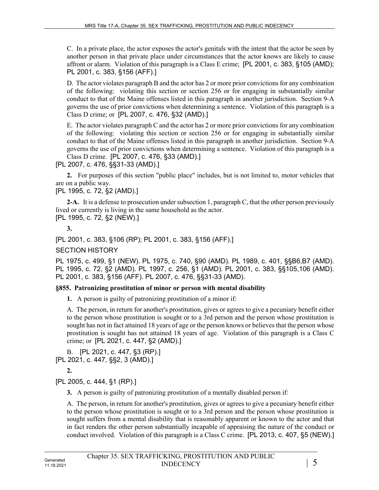C. In a private place, the actor exposes the actor's genitals with the intent that the actor be seen by another person in that private place under circumstances that the actor knows are likely to cause affront or alarm. Violation of this paragraph is a Class E crime; [PL 2001, c. 383, §105 (AMD); PL 2001, c. 383, §156 (AFF).]

D. The actor violates paragraph B and the actor has 2 or more prior convictions for any combination of the following: violating this section or section 256 or for engaging in substantially similar conduct to that of the Maine offenses listed in this paragraph in another jurisdiction. Section 9-A governs the use of prior convictions when determining a sentence. Violation of this paragraph is a Class D crime; or [PL 2007, c. 476, §32 (AMD).]

E. The actor violates paragraph C and the actor has 2 or more prior convictions for any combination of the following: violating this section or section 256 or for engaging in substantially similar conduct to that of the Maine offenses listed in this paragraph in another jurisdiction. Section 9‑A governs the use of prior convictions when determining a sentence. Violation of this paragraph is a Class D crime. [PL 2007, c. 476, §33 (AMD).]

[PL 2007, c. 476, §§31-33 (AMD).]

**2.** For purposes of this section "public place" includes, but is not limited to, motor vehicles that are on a public way.

[PL 1995, c. 72, §2 (AMD).]

**2-A.** It is a defense to prosecution under subsection 1, paragraph C, that the other person previously lived or currently is living in the same household as the actor. [PL 1995, c. 72, §2 (NEW).]

**3.** 

[PL 2001, c. 383, §106 (RP); PL 2001, c. 383, §156 (AFF).]

SECTION HISTORY

PL 1975, c. 499, §1 (NEW). PL 1975, c. 740, §90 (AMD). PL 1989, c. 401, §§B6,B7 (AMD). PL 1995, c. 72, §2 (AMD). PL 1997, c. 256, §1 (AMD). PL 2001, c. 383, §§105,106 (AMD). PL 2001, c. 383, §156 (AFF). PL 2007, c. 476, §§31-33 (AMD).

# **§855. Patronizing prostitution of minor or person with mental disability**

**1.** A person is guilty of patronizing prostitution of a minor if:

A. The person, in return for another's prostitution, gives or agrees to give a pecuniary benefit either to the person whose prostitution is sought or to a 3rd person and the person whose prostitution is sought has not in fact attained 18 years of age or the person knows or believes that the person whose prostitution is sought has not attained 18 years of age. Violation of this paragraph is a Class C crime; or [PL 2021, c. 447, §2 (AMD).]

B. [PL 2021, c. 447, §3 (RP).] [PL 2021, c. 447, §§2, 3 (AMD).]

**2.** 

[PL 2005, c. 444, §1 (RP).]

**3.** A person is guilty of patronizing prostitution of a mentally disabled person if:

A. The person, in return for another's prostitution, gives or agrees to give a pecuniary benefit either to the person whose prostitution is sought or to a 3rd person and the person whose prostitution is sought suffers from a mental disability that is reasonably apparent or known to the actor and that in fact renders the other person substantially incapable of appraising the nature of the conduct or conduct involved. Violation of this paragraph is a Class C crime. [PL 2013, c. 407, §5 (NEW).]